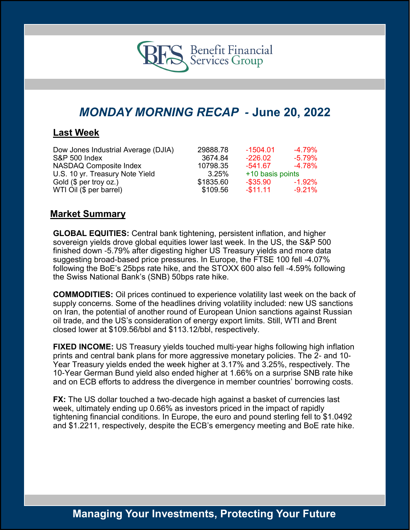

# *MONDAY MORNING RECAP -* **June 20, 2022**

### **Last Week**

| Dow Jones Industrial Average (DJIA) | 29888.78  | $-1504.01$       | -4.79%    |
|-------------------------------------|-----------|------------------|-----------|
| <b>S&amp;P 500 Index</b>            | 3674.84   | $-226.02$        | $-5.79\%$ |
| NASDAQ Composite Index              | 10798.35  | $-541.67$        | -4.78%    |
| U.S. 10 yr. Treasury Note Yield     | 3.25%     | +10 basis points |           |
| Gold (\$ per troy oz.)              | \$1835.60 | $-$ \$35.90      | -1.92%    |
| WTI Oil (\$ per barrel)             | \$109.56  | $-$11.11$        | $-9.21\%$ |

### **Market Summary**

**GLOBAL EQUITIES:** Central bank tightening, persistent inflation, and higher sovereign yields drove global equities lower last week. In the US, the S&P 500 finished down -5.79% after digesting higher US Treasury yields and more data suggesting broad-based price pressures. In Europe, the FTSE 100 fell -4.07% following the BoE's 25bps rate hike, and the STOXX 600 also fell -4.59% following the Swiss National Bank's (SNB) 50bps rate hike.

**COMMODITIES:** Oil prices continued to experience volatility last week on the back of supply concerns. Some of the headlines driving volatility included: new US sanctions on Iran, the potential of another round of European Union sanctions against Russian oil trade, and the US's consideration of energy export limits. Still, WTI and Brent closed lower at \$109.56/bbl and \$113.12/bbl, respectively.

**FIXED INCOME:** US Treasury yields touched multi-year highs following high inflation prints and central bank plans for more aggressive monetary policies. The 2- and 10- Year Treasury yields ended the week higher at 3.17% and 3.25%, respectively. The 10-Year German Bund yield also ended higher at 1.66% on a surprise SNB rate hike and on ECB efforts to address the divergence in member countries' borrowing costs.

**FX:** The US dollar touched a two-decade high against a basket of currencies last week, ultimately ending up 0.66% as investors priced in the impact of rapidly tightening financial conditions. In Europe, the euro and pound sterling fell to \$1.0492 and \$1.2211, respectively, despite the ECB's emergency meeting and BoE rate hike.

## **Managing Your Investments, Protecting Your Future**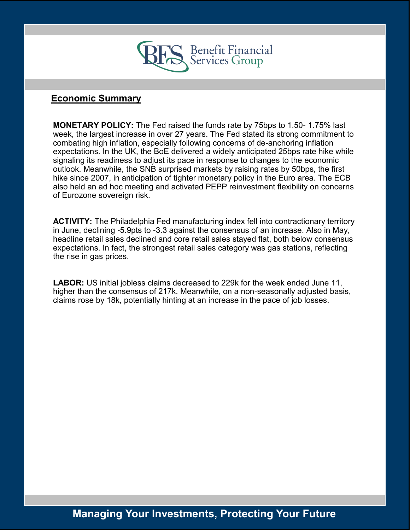

### **Economic Summary**

**MONETARY POLICY:** The Fed raised the funds rate by 75bps to 1.50- 1.75% last week, the largest increase in over 27 years. The Fed stated its strong commitment to combating high inflation, especially following concerns of de-anchoring inflation expectations. In the UK, the BoE delivered a widely anticipated 25bps rate hike while signaling its readiness to adjust its pace in response to changes to the economic outlook. Meanwhile, the SNB surprised markets by raising rates by 50bps, the first hike since 2007, in anticipation of tighter monetary policy in the Euro area. The ECB also held an ad hoc meeting and activated PEPP reinvestment flexibility on concerns of Eurozone sovereign risk.

**ACTIVITY:** The Philadelphia Fed manufacturing index fell into contractionary territory in June, declining -5.9pts to -3.3 against the consensus of an increase. Also in May, headline retail sales declined and core retail sales stayed flat, both below consensus expectations. In fact, the strongest retail sales category was gas stations, reflecting the rise in gas prices.

**LABOR:** US initial jobless claims decreased to 229k for the week ended June 11, higher than the consensus of 217k. Meanwhile, on a non-seasonally adjusted basis, claims rose by 18k, potentially hinting at an increase in the pace of job losses.

## **Managing Your Investments, Protecting Your Future**